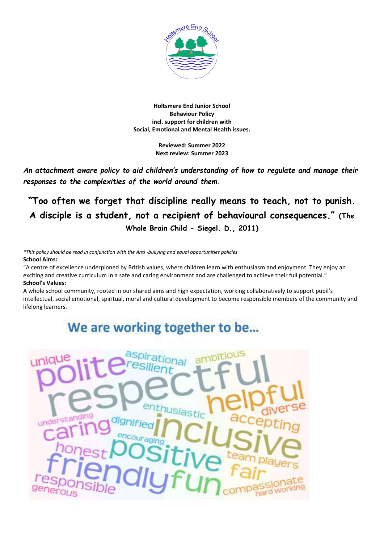

#### **Holtsmere End Junior School Behaviour Policy incl. support for children with Social, Emotional and Mental Health issues.**

**Reviewed: Summer 2022 Next review: Summer 2023**

*An attachment aware policy to aid children's understanding of how to regulate and manage their responses to the complexities of the world around them.* 

**"Too often we forget that discipline really means to teach, not to punish. A disciple is a student, not a recipient of behavioural consequences." (The Whole Brain Child - Siegel. D., 2011)**

*\*This policy should be read in conjunction with the Anti -bullying and equal opportunities policies* **School Aims:**

"A centre of excellence underpinned by British values, where children learn with enthusiasm and enjoyment. They enjoy an exciting and creative curriculum in a safe and caring environment and are challenged to achieve their full potential." **School's Values:** 

A whole school community, rooted in our shared aims and high expectation, working collaboratively to support pupil's intellectual, social emotional, spiritual, moral and cultural development to become responsible members of the community and lifelong learners.

# We are working together to be...

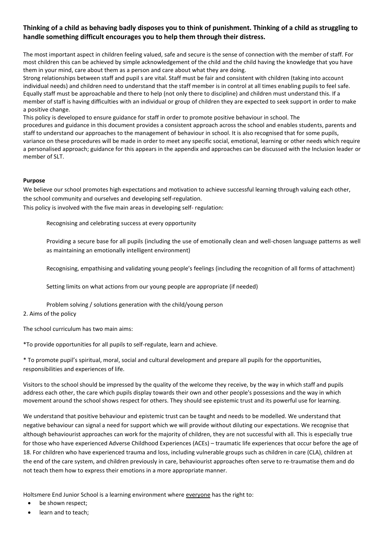# **Thinking of a child as behaving badly disposes you to think of punishment. Thinking of a child as struggling to handle something difficult encourages you to help them through their distress.**

The most important aspect in children feeling valued, safe and secure is the sense of connection with the member of staff. For most children this can be achieved by simple acknowledgement of the child and the child having the knowledge that you have them in your mind, care about them as a person and care about what they are doing.

Strong relationships between staff and pupil s are vital. Staff must be fair and consistent with children (taking into account individual needs) and children need to understand that the staff member is in control at all times enabling pupils to feel safe. Equally staff must be approachable and there to help (not only there to discipline) and children must understand this. If a member of staff is having difficulties with an individual or group of children they are expected to seek support in order to make a positive change.

This policy is developed to ensure guidance for staff in order to promote positive behaviour in school. The procedures and guidance in this document provides a consistent approach across the school and enables students, parents and staff to understand our approaches to the management of behaviour in school. It is also recognised that for some pupils, variance on these procedures will be made in order to meet any specific social, emotional, learning or other needs which require a personalised approach; guidance for this appears in the appendix and approaches can be discussed with the Inclusion leader or member of SLT.

# **Purpose**

We believe our school promotes high expectations and motivation to achieve successful learning through valuing each other, the school community and ourselves and developing self-regulation.

This policy is involved with the five main areas in developing self- regulation:

Recognising and celebrating success at every opportunity

Providing a secure base for all pupils (including the use of emotionally clean and well-chosen language patterns as well as maintaining an emotionally intelligent environment)

Recognising, empathising and validating young people's feelings (including the recognition of all forms of attachment)

Setting limits on what actions from our young people are appropriate (if needed)

Problem solving / solutions generation with the child/young person

# 2. Aims of the policy

The school curriculum has two main aims:

\*To provide opportunities for all pupils to self-regulate, learn and achieve.

\* To promote pupil's spiritual, moral, social and cultural development and prepare all pupils for the opportunities, responsibilities and experiences of life.

Visitors to the school should be impressed by the quality of the welcome they receive, by the way in which staff and pupils address each other, the care which pupils display towards their own and other people's possessions and the way in which movement around the school shows respect for others. They should see epistemic trust and its powerful use for learning.

We understand that positive behaviour and epistemic trust can be taught and needs to be modelled. We understand that negative behaviour can signal a need for support which we will provide without diluting our expectations. We recognise that although behaviourist approaches can work for the majority of children, they are not successful with all. This is especially true for those who have experienced Adverse Childhood Experiences (ACEs) – traumatic life experiences that occur before the age of 18. For children who have experienced trauma and loss, including vulnerable groups such as children in care (CLA), children at the end of the care system, and children previously in care, behaviourist approaches often serve to re-traumatise them and do not teach them how to express their emotions in a more appropriate manner.

Holtsmere End Junior School is a learning environment where everyone has the right to:

- be shown respect;
- learn and to teach: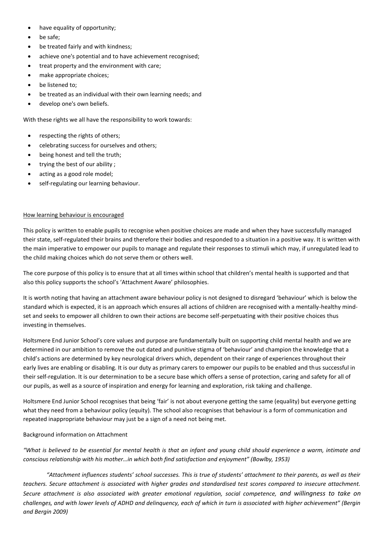- have equality of opportunity:
- be safe;
- be treated fairly and with kindness;
- achieve one's potential and to have achievement recognised;
- treat property and the environment with care;
- make appropriate choices;
- be listened to;
- be treated as an individual with their own learning needs; and
- develop one's own beliefs.

With these rights we all have the responsibility to work towards:

- respecting the rights of others;
- celebrating success for ourselves and others;
- being honest and tell the truth;
- trying the best of our ability ;
- acting as a good role model;
- self-regulating our learning behaviour.

#### How learning behaviour is encouraged

This policy is written to enable pupils to recognise when positive choices are made and when they have successfully managed their state, self-regulated their brains and therefore their bodies and responded to a situation in a positive way. It is written with the main imperative to empower our pupils to manage and regulate their responses to stimuli which may, if unregulated lead to the child making choices which do not serve them or others well.

The core purpose of this policy is to ensure that at all times within school that children's mental health is supported and that also this policy supports the school's 'Attachment Aware' philosophies.

It is worth noting that having an attachment aware behaviour policy is not designed to disregard 'behaviour' which is below the standard which is expected, it is an approach which ensures all actions of children are recognised with a mentally-healthy mindset and seeks to empower all children to own their actions are become self-perpetuating with their positive choices thus investing in themselves.

Holtsmere End Junior School's core values and purpose are fundamentally built on supporting child mental health and we are determined in our ambition to remove the out dated and punitive stigma of 'behaviour' and champion the knowledge that a child's actions are determined by key neurological drivers which, dependent on their range of experiences throughout their early lives are enabling or disabling. It is our duty as primary carers to empower our pupils to be enabled and thus successful in their self-regulation. It is our determination to be a secure base which offers a sense of protection, caring and safety for all of our pupils, as well as a source of inspiration and energy for learning and exploration, risk taking and challenge.

Holtsmere End Junior School recognises that being 'fair' is not about everyone getting the same (equality) but everyone getting what they need from a behaviour policy (equity). The school also recognises that behaviour is a form of communication and repeated inappropriate behaviour may just be a sign of a need not being met.

#### Background information on Attachment

*"What is believed to be essential for mental health is that an infant and young child should experience a warm, intimate and conscious relationship with his mother…in which both find satisfaction and enjoyment" (Bowlby, 1953)*

*"Attachment influences students' school successes. This is true of students' attachment to their parents, as well as their teachers. Secure attachment is associated with higher grades and standardised test scores compared to insecure attachment. Secure attachment is also associated with greater emotional regulation, social competence, and willingness to take on challenges, and with lower levels of ADHD and delinquency, each of which in turn is associated with higher achievement" (Bergin and Bergin 2009)*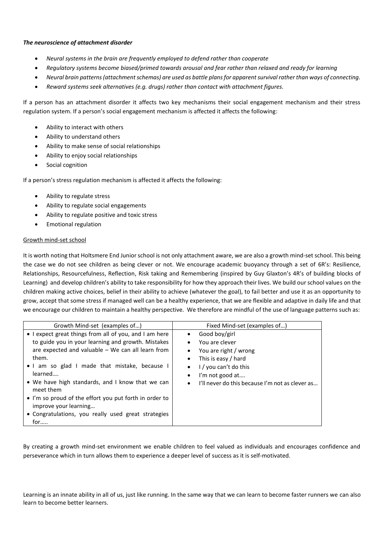#### *The neuroscience of attachment disorder*

- *Neural systems in the brain are frequently employed to defend rather than cooperate*
- *Regulatory systems become biased/primed towards arousal and fear rather than relaxed and ready for learning*
- *Neural brain patterns (attachment schemas) are used as battle plans for apparent survival rather than ways of connecting.*
- *Reward systems seek alternatives (e.g. drugs) rather than contact with attachment figures.*

If a person has an attachment disorder it affects two key mechanisms their social engagement mechanism and their stress regulation system. If a person's social engagement mechanism is affected it affects the following:

- Ability to interact with others
- Ability to understand others
- Ability to make sense of social relationships
- Ability to enjoy social relationships
- Social cognition

If a person's stress regulation mechanism is affected it affects the following:

- Ability to regulate stress
- Ability to regulate social engagements
- Ability to regulate positive and toxic stress
- Emotional regulation

#### Growth mind-set school

It is worth noting that Holtsmere End Junior school is not only attachment aware, we are also a growth mind-set school. This being the case we do not see children as being clever or not. We encourage academic buoyancy through a set of 6R's: Resilience, Relationships, Resourcefulness, Reflection, Risk taking and Remembering (inspired by Guy Glaxton's 4R's of building blocks of Learning) and develop children's ability to take responsibility for how they approach their lives. We build our school values on the children making active choices, belief in their ability to achieve (whatever the goal), to fail better and use it as an opportunity to grow, accept that some stress if managed well can be a healthy experience, that we are flexible and adaptive in daily life and that we encourage our children to maintain a healthy perspective. We therefore are mindful of the use of language patterns such as:

| Growth Mind-set (examples of)                                                                                                                                                                                                                                                                                                                                                                                                                            | Fixed Mind-set (examples of)                                                                                                                                                                                                                                                   |
|----------------------------------------------------------------------------------------------------------------------------------------------------------------------------------------------------------------------------------------------------------------------------------------------------------------------------------------------------------------------------------------------------------------------------------------------------------|--------------------------------------------------------------------------------------------------------------------------------------------------------------------------------------------------------------------------------------------------------------------------------|
| • I expect great things from all of you, and I am here<br>to guide you in your learning and growth. Mistakes<br>are expected and valuable – We can all learn from<br>them.<br>• I am so glad I made that mistake, because I<br>learned<br>. We have high standards, and I know that we can<br>meet them<br>• I'm so proud of the effort you put forth in order to<br>improve your learning<br>• Congratulations, you really used great strategies<br>for | Good boy/girl<br>$\bullet$<br>You are clever<br>$\bullet$<br>You are right / wrong<br>$\bullet$<br>This is easy / hard<br>$\bullet$<br>$1 / \nu$ ou can't do this<br>$\bullet$<br>I'm not good at<br>$\bullet$<br>I'll never do this because I'm not as clever as<br>$\bullet$ |

By creating a growth mind-set environment we enable children to feel valued as individuals and encourages confidence and perseverance which in turn allows them to experience a deeper level of success as it is self-motivated.

Learning is an innate ability in all of us, just like running. In the same way that we can learn to become faster runners we can also learn to become better learners.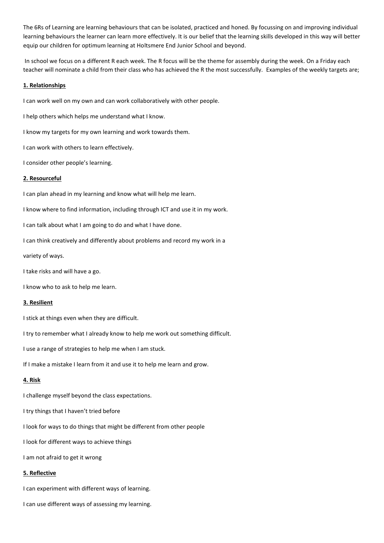The 6Rs of Learning are learning behaviours that can be isolated, practiced and honed. By focussing on and improving individual learning behaviours the learner can learn more effectively. It is our belief that the learning skills developed in this way will better equip our children for optimum learning at Holtsmere End Junior School and beyond.

In school we focus on a different R each week. The R focus will be the theme for assembly during the week. On a Friday each teacher will nominate a child from their class who has achieved the R the most successfully. Examples of the weekly targets are;

# **1. Relationships**

I can work well on my own and can work collaboratively with other people.

I help others which helps me understand what I know.

I know my targets for my own learning and work towards them.

I can work with others to learn effectively.

I consider other people's learning.

#### **2. Resourceful**

I can plan ahead in my learning and know what will help me learn.

I know where to find information, including through ICT and use it in my work.

I can talk about what I am going to do and what I have done.

I can think creatively and differently about problems and record my work in a

variety of ways.

I take risks and will have a go.

I know who to ask to help me learn.

#### **3. Resilient**

I stick at things even when they are difficult.

I try to remember what I already know to help me work out something difficult.

I use a range of strategies to help me when I am stuck.

If I make a mistake I learn from it and use it to help me learn and grow.

#### **4. Risk**

I challenge myself beyond the class expectations.

I try things that I haven't tried before

I look for ways to do things that might be different from other people

I look for different ways to achieve things

I am not afraid to get it wrong

#### **5. Reflective**

I can experiment with different ways of learning.

I can use different ways of assessing my learning.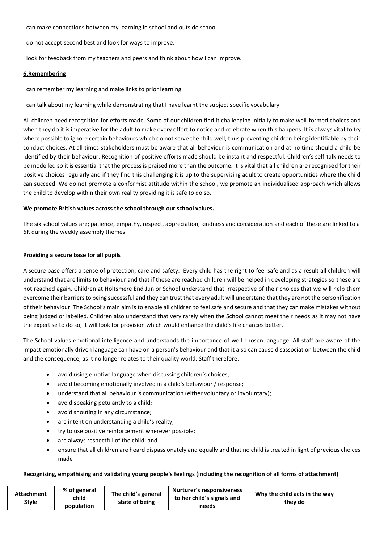I can make connections between my learning in school and outside school.

I do not accept second best and look for ways to improve.

I look for feedback from my teachers and peers and think about how I can improve.

#### **6.Remembering**

I can remember my learning and make links to prior learning.

I can talk about my learning while demonstrating that I have learnt the subject specific vocabulary.

All children need recognition for efforts made. Some of our children find it challenging initially to make well-formed choices and when they do it is imperative for the adult to make every effort to notice and celebrate when this happens. It is always vital to try where possible to ignore certain behaviours which do not serve the child well, thus preventing children being identifiable by their conduct choices. At all times stakeholders must be aware that all behaviour is communication and at no time should a child be identified by their behaviour. Recognition of positive efforts made should be instant and respectful. Children's self-talk needs to be modelled so it is essential that the process is praised more than the outcome. It is vital that all children are recognised for their positive choices regularly and if they find this challenging it is up to the supervising adult to create opportunities where the child can succeed. We do not promote a conformist attitude within the school, we promote an individualised approach which allows the child to develop within their own reality providing it is safe to do so.

# **We promote British values across the school through our school values.**

The six school values are; patience, empathy, respect, appreciation, kindness and consideration and each of these are linked to a 6R during the weekly assembly themes.

# **Providing a secure base for all pupils**

A secure base offers a sense of protection, care and safety. Every child has the right to feel safe and as a result all children will understand that are limits to behaviour and that if these are reached children will be helped in developing strategies so these are not reached again. Children at Holtsmere End Junior School understand that irrespective of their choices that we will help them overcome their barriers to being successful and they can trust that every adult will understand that they are not the personification of their behaviour. The School's main aim is to enable all children to feel safe and secure and that they can make mistakes without being judged or labelled. Children also understand that very rarely when the School cannot meet their needs as it may not have the expertise to do so, it will look for provision which would enhance the child's life chances better.

The School values emotional intelligence and understands the importance of well-chosen language. All staff are aware of the impact emotionally driven language can have on a person's behaviour and that it also can cause disassociation between the child and the consequence, as it no longer relates to their quality world. Staff therefore:

- avoid using emotive language when discussing children's choices;
- avoid becoming emotionally involved in a child's behaviour / response;
- understand that all behaviour is communication (either voluntary or involuntary);
- avoid speaking petulantly to a child;
- avoid shouting in any circumstance;
- are intent on understanding a child's reality;
- try to use positive reinforcement wherever possible;
- are always respectful of the child; and
- ensure that all children are heard dispassionately and equally and that no child is treated in light of previous choices made

# **Recognising, empathising and validating young people's feelings (including the recognition of all forms of attachment)**

| <b>Attachment</b><br>Style | % of general<br>child<br>population | The child's general<br>state of being | Nurturer's responsiveness<br>to her child's signals and<br>needs | Why the child acts in the way<br>they do |
|----------------------------|-------------------------------------|---------------------------------------|------------------------------------------------------------------|------------------------------------------|
|----------------------------|-------------------------------------|---------------------------------------|------------------------------------------------------------------|------------------------------------------|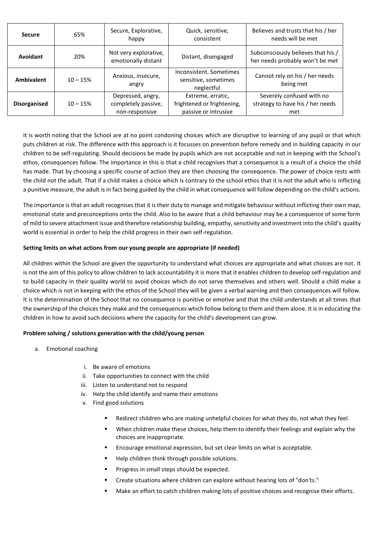| <b>Secure</b>       | 65%        | Secure, Explorative,<br>happy                              | Quick, sensitive,<br>consistent                                         | Believes and trusts that his / her<br>needs will be met               |
|---------------------|------------|------------------------------------------------------------|-------------------------------------------------------------------------|-----------------------------------------------------------------------|
| Avoidant            | 20%        | Not very explorative,<br>emotionally distant               | Distant, disengaged                                                     | Subconsciously believes that his /<br>her needs probably won't be met |
| <b>Ambivalent</b>   | $10 - 15%$ | Anxious, insecure,<br>angry                                | Inconsistent, Sometimes<br>sensitive, sometimes<br>neglectful           | Cannot rely on his / her needs<br>being met                           |
| <b>Disorganised</b> | $10 - 15%$ | Depressed, angry,<br>completely passive,<br>non-responsive | Extreme, erratic,<br>frightened or frightening,<br>passive or intrusive | Severely confused with no<br>strategy to have his / her needs<br>met  |

It is worth noting that the School are at no point condoning choices which are disruptive to learning of any pupil or that which puts children at risk. The difference with this approach is it focusses on prevention before remedy and in building capacity in our children to be self-regulating. Should decisions be made by pupils which are not acceptable and not in keeping with the School's ethos, consequences follow. The importance in this is that a child recognises that a consequence is a result of a choice the child has made. That by choosing a specific course of action they are then choosing the consequence. The power of choice rests with the child not the adult. That if a child makes a choice which is contrary to the school ethos that it is not the adult who is inflicting a punitive measure, the adult is in fact being guided by the child in what consequence will follow depending on the child's actions.

The importance is that an adult recognises that it is their duty to manage and mitigate behaviour without inflicting their own map, emotional state and preconceptions onto the child. Also to be aware that a child behaviour may be a consequence of some form of mild to severe attachment issue and therefore relationship building, empathy, sensitivity and investment into the child's quality world is essential in order to help the child progress in their own self-regulation.

# **Setting limits on what actions from our young people are appropriate (if needed)**

All children within the School are given the opportunity to understand what choices are appropriate and what choices are not. It is not the aim of this policy to allow children to lack accountability it is more that it enables children to develop self-regulation and to build capacity in their quality world to avoid choices which do not serve themselves and others well. Should a child make a choice which is not in keeping with the ethos of the School they will be given a verbal warning and then consequences will follow. It is the determination of the School that no consequence is punitive or emotive and that the child understands at all times that the ownership of the choices they make and the consequences which follow belong to them and them alone. It is in educating the children in how to avoid such decisions where the capacity for the child's development can grow.

# **Problem solving / solutions generation with the child/young person**

- a. Emotional coaching
	- i. Be aware of emotions
	- ii. Take opportunities to connect with the child
	- iii. Listen to understand not to respond
	- iv. Help the child identify and name their emotions
	- v. Find good solutions
		- Redirect children who are making unhelpful choices for what they do, not what they feel.
		- When children make these choices, help them to identify their feelings and explain why the choices are inappropriate.
		- Encourage emotional expression, but set clear limits on what is acceptable.
		- Help children think through possible solutions.
		- Progress in small steps should be expected.
		- Create situations where children can explore without hearing lots of "don'ts."
		- Make an effort to catch children making lots of positive choices and recognise their efforts.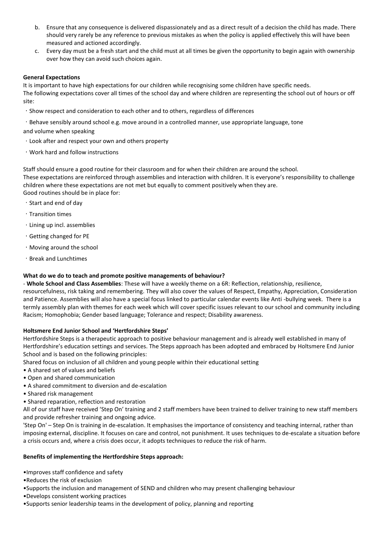- b. Ensure that any consequence is delivered dispassionately and as a direct result of a decision the child has made. There should very rarely be any reference to previous mistakes as when the policy is applied effectively this will have been measured and actioned accordingly.
- c. Every day must be a fresh start and the child must at all times be given the opportunity to begin again with ownership over how they can avoid such choices again.

#### **General Expectations**

It is important to have high expectations for our children while recognising some children have specific needs.

The following expectations cover all times of the school day and where children are representing the school out of hours or off site:

- Show respect and consideration to each other and to others, regardless of differences
- Behave sensibly around school e.g. move around in a controlled manner, use appropriate language, tone

and volume when speaking

- Look after and respect your own and others property
- Work hard and follow instructions

Staff should ensure a good routine for their classroom and for when their children are around the school. These expectations are reinforced through assemblies and interaction with children. It is everyone's responsibility to challenge children where these expectations are not met but equally to comment positively when they are. Good routines should be in place for:

- Start and end of day
- Transition times
- Lining up incl. assemblies
- Getting changed for PE
- Moving around the school
- Break and Lunchtimes

# **What do we do to teach and promote positive managements of behaviour?**

- **Whole School and Class Assemblies**: These will have a weekly theme on a 6R: Reflection, relationship, resilience, resourcefulness, risk taking and remembering. They will also cover the values of Respect, Empathy, Appreciation, Consideration and Patience. Assemblies will also have a special focus linked to particular calendar events like Anti -bullying week. There is a termly assembly plan with themes for each week which will cover specific issues relevant to our school and community including Racism; Homophobia; Gender based language; Tolerance and respect; Disability awareness.

#### **Holtsmere End Junior School and 'Hertfordshire Steps'**

Hertfordshire Steps is a therapeutic approach to positive behaviour management and is already well established in many of Hertfordshire's education settings and services. The Steps approach has been adopted and embraced by Holtsmere End Junior School and is based on the following principles:

Shared focus on inclusion of all children and young people within their educational setting

- A shared set of values and beliefs
- Open and shared communication
- A shared commitment to diversion and de-escalation
- Shared risk management
- Shared reparation, reflection and restoration

All of our staff have received 'Step On' training and 2 staff members have been trained to deliver training to new staff members and provide refresher training and ongoing advice.

'Step On' – Step On is training in de-escalation. It emphasises the importance of consistency and teaching internal, rather than imposing external, discipline. It focuses on care and control, not punishment. It uses techniques to de-escalate a situation before a crisis occurs and, where a crisis does occur, it adopts techniques to reduce the risk of harm.

#### **Benefits of implementing the Hertfordshire Steps approach:**

•Improves staff confidence and safety

•Reduces the risk of exclusion

•Supports the inclusion and management of SEND and children who may present challenging behaviour

•Develops consistent working practices

•Supports senior leadership teams in the development of policy, planning and reporting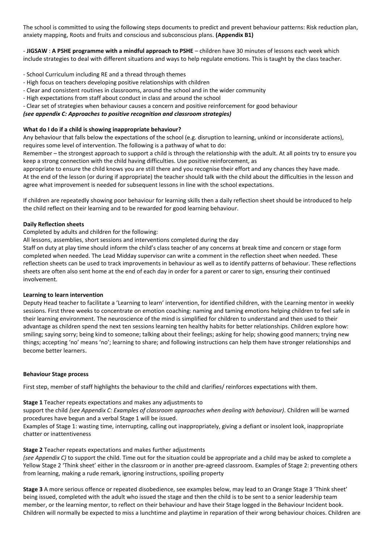The school is committed to using the following steps documents to predict and prevent behaviour patterns: Risk reduction plan, anxiety mapping, Roots and fruits and conscious and subconscious plans. **(Appendix B1)**

- **JIGSAW** : **A PSHE programme with a mindful approach to PSHE** – children have 30 minutes of lessons each week which include strategies to deal with different situations and ways to help regulate emotions. This is taught by the class teacher.

- School Curriculum including RE and a thread through themes
- High focus on teachers developing positive relationships with children
- Clear and consistent routines in classrooms, around the school and in the wider community
- High expectations from staff about conduct in class and around the school
- Clear set of strategies when behaviour causes a concern and positive reinforcement for good behaviour

*(see appendix C: Approaches to positive recognition and classroom strategies)*

# **What do I do if a child is showing inappropriate behaviour?**

Any behaviour that falls below the expectations of the school (e.g. disruption to learning, unkind or inconsiderate actions), requires some level of intervention. The following is a pathway of what to do:

Remember – the strongest approach to support a child is through the relationship with the adult. At all points try to ensure you keep a strong connection with the child having difficulties. Use positive reinforcement, as

appropriate to ensure the child knows you are still there and you recognise their effort and any chances they have made. At the end of the lesson (or during if appropriate) the teacher should talk with the child about the difficulties in the lesson and agree what improvement is needed for subsequent lessons in line with the school expectations.

If children are repeatedly showing poor behaviour for learning skills then a daily reflection sheet should be introduced to help the child reflect on their learning and to be rewarded for good learning behaviour.

#### **Daily Reflection sheets**

Completed by adults and children for the following:

All lessons, assemblies, short sessions and interventions completed during the day

Staff on duty at play time should inform the child's class teacher of any concerns at break time and concern or stage form completed when needed. The Lead Midday supervisor can write a comment in the reflection sheet when needed. These reflection sheets can be used to track improvements in behaviour as well as to identify patterns of behaviour. These reflections sheets are often also sent home at the end of each day in order for a parent or carer to sign, ensuring their continued involvement.

#### **Learning to learn intervention**

Deputy Head teacher to facilitate a 'Learning to learn' intervention, for identified children, with the Learning mentor in weekly sessions. First three weeks to concentrate on emotion coaching: naming and taming emotions helping children to feel safe in their learning environment. The neuroscience of the mind is simplified for children to understand and then used to their advantage as children spend the next ten sessions learning ten healthy habits for better relationships. Children explore how: smiling; saying sorry; being kind to someone; talking about their feelings; asking for help; showing good manners; trying new things; accepting 'no' means 'no'; learning to share; and following instructions can help them have stronger relationships and become better learners.

#### **Behaviour Stage process**

First step, member of staff highlights the behaviour to the child and clarifies/ reinforces expectations with them.

#### **Stage 1** Teacher repeats expectations and makes any adjustments to

support the child *(see Appendix C: Examples of classroom approaches when dealing with behaviour)*. Children will be warned procedures have begun and a verbal Stage 1 will be issued.

Examples of Stage 1: wasting time, interrupting, calling out inappropriately, giving a defiant or insolent look, inappropriate chatter or inattentiveness

#### **Stage 2** Teacher repeats expectations and makes further adjustments

*(see Appendix C)* to support the child. Time out for the situation could be appropriate and a child may be asked to complete a Yellow Stage 2 'Think sheet' either in the classroom or in another pre-agreed classroom. Examples of Stage 2: preventing others from learning, making a rude remark, ignoring instructions, spoiling property

**Stage 3** A more serious offence or repeated disobedience, see examples below, may lead to an Orange Stage 3 'Think sheet' being issued, completed with the adult who issued the stage and then the child is to be sent to a senior leadership team member, or the learning mentor, to reflect on their behaviour and have their Stage logged in the Behaviour Incident book. Children will normally be expected to miss a lunchtime and playtime in reparation of their wrong behaviour choices. Children are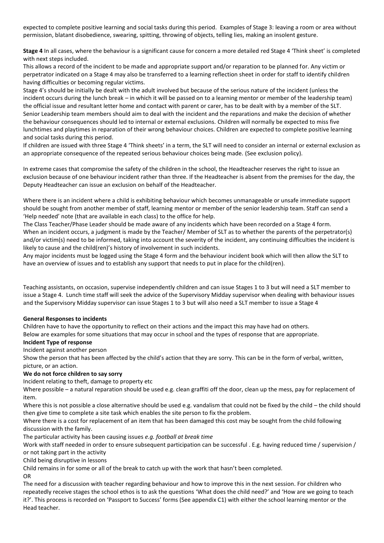expected to complete positive learning and social tasks during this period. Examples of Stage 3: leaving a room or area without permission, blatant disobedience, swearing, spitting, throwing of objects, telling lies, making an insolent gesture.

**Stage 4** In all cases, where the behaviour is a significant cause for concern a more detailed red Stage 4 'Think sheet' is completed with next steps included.

This allows a record of the incident to be made and appropriate support and/or reparation to be planned for. Any victim or perpetrator indicated on a Stage 4 may also be transferred to a learning reflection sheet in order for staff to identify children having difficulties or becoming regular victims.

Stage 4's should be initially be dealt with the adult involved but because of the serious nature of the incident (unless the incident occurs during the lunch break – in which it will be passed on to a learning mentor or member of the leadership team) the official issue and resultant letter home and contact with parent or carer, has to be dealt with by a member of the SLT. Senior Leadership team members should aim to deal with the incident and the reparations and make the decision of whether the behaviour consequences should led to internal or external exclusions. Children will normally be expected to miss five lunchtimes and playtimes in reparation of their wrong behaviour choices. Children are expected to complete positive learning and social tasks during this period.

If children are issued with three Stage 4 'Think sheets' in a term, the SLT will need to consider an internal or external exclusion as an appropriate consequence of the repeated serious behaviour choices being made. (See exclusion policy).

In extreme cases that compromise the safety of the children in the school, the Headteacher reserves the right to issue an exclusion because of one behaviour incident rather than three. If the Headteacher is absent from the premises for the day, the Deputy Headteacher can issue an exclusion on behalf of the Headteacher.

Where there is an incident where a child is exhibiting behaviour which becomes unmanageable or unsafe immediate support should be sought from another member of staff, learning mentor or member of the senior leadership team. Staff can send a 'Help needed' note (that are available in each class) to the office for help.

The Class Teacher/Phase Leader should be made aware of any incidents which have been recorded on a Stage 4 form. When an incident occurs, a judgment is made by the Teacher/ Member of SLT as to whether the parents of the perpetrator(s) and/or victim(s) need to be informed, taking into account the severity of the incident, any continuing difficulties the incident is likely to cause and the child(ren)'s history of involvement in such incidents.

Any major incidents must be logged using the Stage 4 form and the behaviour incident book which will then allow the SLT to have an overview of issues and to establish any support that needs to put in place for the child(ren).

Teaching assistants, on occasion, supervise independently children and can issue Stages 1 to 3 but will need a SLT member to issue a Stage 4. Lunch time staff will seek the advice of the Supervisory Midday supervisor when dealing with behaviour issues and the Supervisory Midday supervisor can issue Stages 1 to 3 but will also need a SLT member to issue a Stage 4

#### **General Responses to incidents**

Children have to have the opportunity to reflect on their actions and the impact this may have had on others. Below are examples for some situations that may occur in school and the types of response that are appropriate.

#### **Incident Type of response**

Incident against another person

Show the person that has been affected by the child's action that they are sorry. This can be in the form of verbal, written, picture, or an action.

#### **We do not force children to say sorry**

Incident relating to theft, damage to property etc

Where possible – a natural reparation should be used e.g. clean graffiti off the door, clean up the mess, pay for replacement of item.

Where this is not possible a close alternative should be used e.g. vandalism that could not be fixed by the child – the child should then give time to complete a site task which enables the site person to fix the problem.

Where there is a cost for replacement of an item that has been damaged this cost may be sought from the child following discussion with the family.

The particular activity has been causing issues *e.g. football at break time*

Work with staff needed in order to ensure subsequent participation can be successful . E.g. having reduced time / supervision / or not taking part in the activity

Child being disruptive in lessons

Child remains in for some or all of the break to catch up with the work that hasn't been completed. OR

The need for a discussion with teacher regarding behaviour and how to improve this in the next session. For children who repeatedly receive stages the school ethos is to ask the questions 'What does the child need?' and 'How are we going to teach it?'. This process is recorded on 'Passport to Success' forms (See appendix C1) with either the school learning mentor or the Head teacher.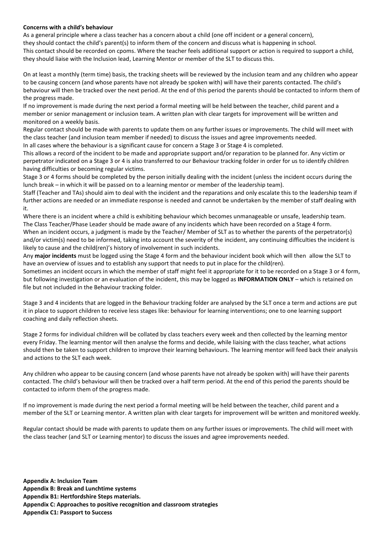#### **Concerns with a child's behaviour**

As a general principle where a class teacher has a concern about a child (one off incident or a general concern), they should contact the child's parent(s) to inform them of the concern and discuss what is happening in school. This contact should be recorded on cpoms. Where the teacher feels additional support or action is required to support a child, they should liaise with the Inclusion lead, Learning Mentor or member of the SLT to discuss this.

On at least a monthly (term time) basis, the tracking sheets will be reviewed by the inclusion team and any children who appear to be causing concern (and whose parents have not already be spoken with) will have their parents contacted. The child's behaviour will then be tracked over the next period. At the end of this period the parents should be contacted to inform them of the progress made.

If no improvement is made during the next period a formal meeting will be held between the teacher, child parent and a member or senior management or inclusion team. A written plan with clear targets for improvement will be written and monitored on a weekly basis.

Regular contact should be made with parents to update them on any further issues or improvements. The child will meet with the class teacher (and inclusion team member if needed) to discuss the issues and agree improvements needed. In all cases where the behaviour is a significant cause for concern a Stage 3 or Stage 4 is completed.

This allows a record of the incident to be made and appropriate support and/or reparation to be planned for. Any victim or perpetrator indicated on a Stage 3 or 4 is also transferred to our Behaviour tracking folder in order for us to identify children having difficulties or becoming regular victims.

Stage 3 or 4 forms should be completed by the person initially dealing with the incident (unless the incident occurs during the lunch break – in which it will be passed on to a learning mentor or member of the leadership team).

Staff (Teacher and TAs) should aim to deal with the incident and the reparations and only escalate this to the leadership team if further actions are needed or an immediate response is needed and cannot be undertaken by the member of staff dealing with it.

Where there is an incident where a child is exhibiting behaviour which becomes unmanageable or unsafe, leadership team. The Class Teacher/Phase Leader should be made aware of any incidents which have been recorded on a Stage 4 form. When an incident occurs, a judgment is made by the Teacher/ Member of SLT as to whether the parents of the perpetrator(s) and/or victim(s) need to be informed, taking into account the severity of the incident, any continuing difficulties the incident is likely to cause and the child(ren)'s history of involvement in such incidents.

Any **major incidents** must be logged using the Stage 4 form and the behaviour incident book which will then allow the SLT to have an overview of issues and to establish any support that needs to put in place for the child(ren).

Sometimes an incident occurs in which the member of staff might feel it appropriate for it to be recorded on a Stage 3 or 4 form, but following investigation or an evaluation of the incident, this may be logged as **INFORMATION ONLY** – which is retained on file but not included in the Behaviour tracking folder.

Stage 3 and 4 incidents that are logged in the Behaviour tracking folder are analysed by the SLT once a term and actions are put it in place to support children to receive less stages like: behaviour for learning interventions; one to one learning support coaching and daily reflection sheets.

Stage 2 forms for individual children will be collated by class teachers every week and then collected by the learning mentor every Friday. The learning mentor will then analyse the forms and decide, while liaising with the class teacher, what actions should then be taken to support children to improve their learning behaviours. The learning mentor will feed back their analysis and actions to the SLT each week.

Any children who appear to be causing concern (and whose parents have not already be spoken with) will have their parents contacted. The child's behaviour will then be tracked over a half term period. At the end of this period the parents should be contacted to inform them of the progress made.

If no improvement is made during the next period a formal meeting will be held between the teacher, child parent and a member of the SLT or Learning mentor. A written plan with clear targets for improvement will be written and monitored weekly.

Regular contact should be made with parents to update them on any further issues or improvements. The child will meet with the class teacher (and SLT or Learning mentor) to discuss the issues and agree improvements needed.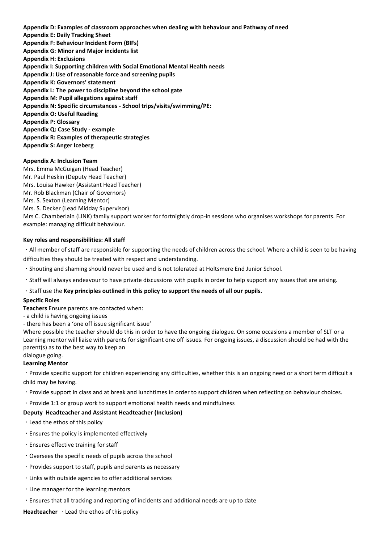**Appendix D: Examples of classroom approaches when dealing with behaviour and Pathway of need Appendix E: Daily Tracking Sheet Appendix F: Behaviour Incident Form (BIFs) Appendix G: Minor and Major incidents list Appendix H: Exclusions Appendix I: Supporting children with Social Emotional Mental Health needs Appendix J: Use of reasonable force and screening pupils Appendix K: Governors' statement Appendix L: The power to discipline beyond the school gate Appendix M: Pupil allegations against staff Appendix N: Specific circumstances - School trips/visits/swimming/PE: Appendix O: Useful Reading Appendix P: Glossary Appendix Q: Case Study - example Appendix R: Examples of therapeutic strategies Appendix S: Anger Iceberg**

#### **Appendix A: Inclusion Team**

Mrs. Emma McGuigan (Head Teacher) Mr. Paul Heskin (Deputy Head Teacher) Mrs. Louisa Hawker (Assistant Head Teacher) Mr. Rob Blackman (Chair of Governors) Mrs. S. Sexton (Learning Mentor) Mrs. S. Decker (Lead Midday Supervisor) Mrs C. Chamberlain (LINK) family support worker for fortnightly drop-in sessions who organises workshops for parents. For example: managing difficult behaviour.

#### **Key roles and responsibilities: All staff**

· All member of staff are responsible for supporting the needs of children across the school. Where a child is seen to be having difficulties they should be treated with respect and understanding.

- Shouting and shaming should never be used and is not tolerated at Holtsmere End Junior School.
- Staff will always endeavour to have private discussions with pupils in order to help support any issues that are arising.

#### Staff use the **Key principles outlined in this policy to support the needs of all our pupils.**

#### **Specific Roles**

**Teachers** Ensure parents are contacted when:

- a child is having ongoing issues
- there has been a 'one off issue significant issue'

Where possible the teacher should do this in order to have the ongoing dialogue. On some occasions a member of SLT or a Learning mentor will liaise with parents for significant one off issues. For ongoing issues, a discussion should be had with the parent(s) as to the best way to keep an

# dialogue going.

# **Learning Mentor**

Provide specific support for children experiencing any difficulties, whether this is an ongoing need or a short term difficult a child may be having.

Provide support in class and at break and lunchtimes in order to support children when reflecting on behaviour choices.

Provide 1:1 or group work to support emotional health needs and mindfulness

#### **Deputy Headteacher and Assistant Headteacher (Inclusion)**

- Lead the ethos of this policy
- Ensures the policy is implemented effectively
- Ensures effective training for staff
- Oversees the specific needs of pupils across the school
- Provides support to staff, pupils and parents as necessary
- Links with outside agencies to offer additional services
- Line manager for the learning mentors
- Ensures that all tracking and reporting of incidents and additional needs are up to date

Headteacher **Lead the ethos of this policy**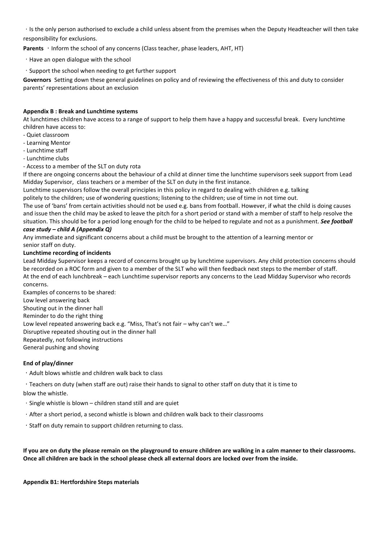Is the only person authorised to exclude a child unless absent from the premises when the Deputy Headteacher will then take responsibility for exclusions.

**Parents Inform the school of any concerns (Class teacher, phase leaders, AHT, HT)** 

Have an open dialogue with the school

Support the school when needing to get further support

**Governors** Setting down these general guidelines on policy and of reviewing the effectiveness of this and duty to consider parents' representations about an exclusion

# **Appendix B : Break and Lunchtime systems**

At lunchtimes children have access to a range of support to help them have a happy and successful break. Every lunchtime children have access to:

- Quiet classroom
- Learning Mentor
- Lunchtime staff
- Lunchtime clubs
- Access to a member of the SLT on duty rota

If there are ongoing concerns about the behaviour of a child at dinner time the lunchtime supervisors seek support from Lead Midday Supervisor, class teachers or a member of the SLT on duty in the first instance.

Lunchtime supervisors follow the overall principles in this policy in regard to dealing with children e.g. talking

politely to the children; use of wondering questions; listening to the children; use of time in not time out.

The use of 'bans' from certain activities should not be used e.g. bans from football. However, if what the child is doing causes and issue then the child may be asked to leave the pitch for a short period or stand with a member of staff to help resolve the situation. This should be for a period long enough for the child to be helped to regulate and not as a punishment. *See football* 

# *case study – child A (Appendix Q)*

Any immediate and significant concerns about a child must be brought to the attention of a learning mentor or senior staff on duty.

#### **Lunchtime recording of incidents**

Lead Midday Supervisor keeps a record of concerns brought up by lunchtime supervisors. Any child protection concerns should be recorded on a ROC form and given to a member of the SLT who will then feedback next steps to the member of staff. At the end of each lunchbreak – each Lunchtime supervisor reports any concerns to the Lead Midday Supervisor who records concerns.

Examples of concerns to be shared: Low level answering back Shouting out in the dinner hall Reminder to do the right thing Low level repeated answering back e.g. "Miss, That's not fair – why can't we…" Disruptive repeated shouting out in the dinner hall Repeatedly, not following instructions General pushing and shoving

#### **End of play/dinner**

Adult blows whistle and children walk back to class

Teachers on duty (when staff are out) raise their hands to signal to other staff on duty that it is time to blow the whistle.

- Single whistle is blown children stand still and are quiet
- After a short period, a second whistle is blown and children walk back to their classrooms
- Staff on duty remain to support children returning to class.

**If you are on duty the please remain on the playground to ensure children are walking in a calm manner to their classrooms. Once all children are back in the school please check all external doors are locked over from the inside.**

**Appendix B1: Hertfordshire Steps materials**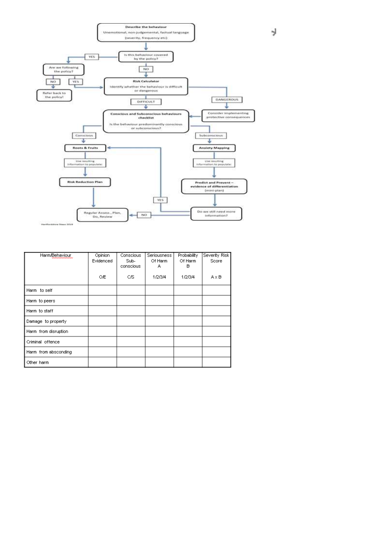

| Harm/Behaviour       | Opinion<br>Evidenced | Conscious<br>Sub-<br>conscious | Seriousness<br>Of Harm<br>А | Probability<br>Of Harm<br>в | Severity Risk<br>Score |
|----------------------|----------------------|--------------------------------|-----------------------------|-----------------------------|------------------------|
|                      | OÆ                   | СS                             | 1/2/3/4                     | 1/2/3/4                     | $A \times B$           |
| Harm to self         |                      |                                |                             |                             |                        |
| Harm to peers        |                      |                                |                             |                             |                        |
| Harm to staff        |                      |                                |                             |                             |                        |
| Damage to property   |                      |                                |                             |                             |                        |
| Harm from disruption |                      |                                |                             |                             |                        |
| Criminal offence     |                      |                                |                             |                             |                        |
| Harm from absconding |                      |                                |                             |                             |                        |
| Other harm           |                      |                                |                             |                             |                        |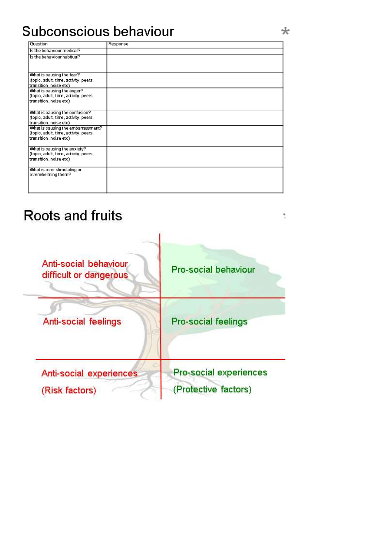# Subconscious behaviour

| Question                                                        | Response |
|-----------------------------------------------------------------|----------|
| Is the behaviour medical?                                       |          |
| Is the behaviour habitual?                                      |          |
|                                                                 |          |
|                                                                 |          |
| What is causing the fear?                                       |          |
| (topic, adult, time, activity, peers,                           |          |
| transition, noise etc)                                          |          |
| What is causing the anger?                                      |          |
| (topic, adult, time, activity, peers,                           |          |
| transition, noise etc)                                          |          |
|                                                                 |          |
| What is causing the confusion?                                  |          |
| (topic, adult, time, activity, peers,<br>transition, noise etc) |          |
| What is causing the embarrassment?                              |          |
| (topic, adult, time, activity, peers,                           |          |
| transition, noise etc)                                          |          |
|                                                                 |          |
| What is causing the anxiety?                                    |          |
| (topic, adult, time, activity, peers,                           |          |
| transition, noise etc)                                          |          |
|                                                                 |          |
| What is over stimulating or<br>overwhelming them?               |          |
|                                                                 |          |
|                                                                 |          |
|                                                                 |          |

# Roots and fruits



÷.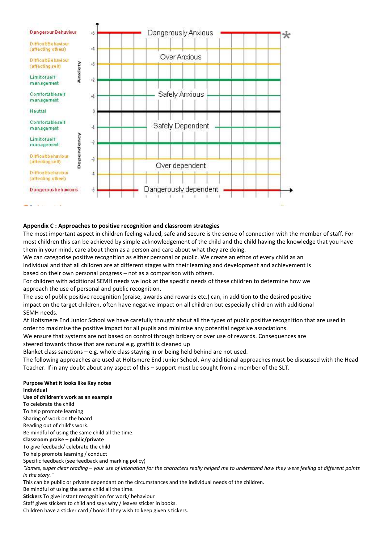

#### **Appendix C : Approaches to positive recognition and classroom strategies**

The most important aspect in children feeling valued, safe and secure is the sense of connection with the member of staff. For most children this can be achieved by simple acknowledgement of the child and the child having the knowledge that you have them in your mind, care about them as a person and care about what they are doing.

We can categorise positive recognition as either personal or public. We create an ethos of every child as an individual and that all children are at different stages with their learning and development and achievement is based on their own personal progress – not as a comparison with others.

For children with additional SEMH needs we look at the specific needs of these children to determine how we approach the use of personal and public recognition.

The use of public positive recognition (praise, awards and rewards etc.) can, in addition to the desired positive impact on the target children, often have negative impact on all children but especially children with additional SEMH needs.

At Holtsmere End Junior School we have carefully thought about all the types of public positive recognition that are used in order to maximise the positive impact for all pupils and minimise any potential negative associations.

We ensure that systems are not based on control through bribery or over use of rewards. Consequences are steered towards those that are natural e.g. graffiti is cleaned up

Blanket class sanctions – e.g. whole class staying in or being held behind are not used.

The following approaches are used at Holtsmere End Junior School. Any additional approaches must be discussed with the Head Teacher. If in any doubt about any aspect of this – support must be sought from a member of the SLT.

#### **Purpose What it looks like Key notes Individual**

# **Use of children's work as an example**

To celebrate the child To help promote learning Sharing of work on the board Reading out of child's work. Be mindful of using the same child all the time. **Classroom praise – public/private** To give feedback/ celebrate the child To help promote learning / conduct Specific feedback (see feedback and marking policy) *"James, super clear reading – your use of intonation for the characters really helped me to understand how they were feeling at different points in the story."* This can be public or private dependant on the circumstances and the individual needs of the children. Be mindful of using the same child all the time. **Stickers** To give instant recognition for work/ behaviour

Staff gives stickers to child and says why / leaves sticker in books.

Children have a sticker card / book if they wish to keep given s tickers.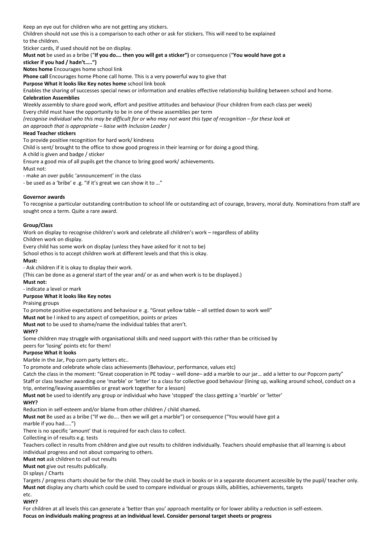Keep an eye out for children who are not getting any stickers. Children should not use this is a comparison to each other or ask for stickers. This will need to be explained to the children.

Sticker cards, if used should not be on display.

**Must not** be used as a bribe ("**If you do…. then you will get a sticker")** or consequence ("**You would have got a**

**sticker if you had / hadn't…..")**

**Notes home** Encourages home school link **Phone call** Encourages home Phone call home. This is a very powerful way to give that

**Purpose What it looks like Key notes home** school link book

Enables the sharing of successes special news or information and enables effective relationship building between school and home. **Celebration Assemblies**

Weekly assembly to share good work, effort and positive attitudes and behaviour (Four children from each class per week) Every child must have the opportunity to be in one of these assemblies per term

*(recognise individual who this may be difficult for or who may not want this type of recognition – for these look at* 

*an approach that is appropriate – liaise with Inclusion Leader )*

#### **Head Teacher stickers**

To provide positive recognition for hard work/ kindness

Child is sent/ brought to the office to show good progress in their learning or for doing a good thing.

A child is given and badge / sticker

Ensure a good mix of all pupils get the chance to bring good work/ achievements.

Must not:

- make an over public 'announcement' in the class

- be used as a 'bribe' e .g. "if it's great we can show it to …"

#### **Governor awards**

To recognise a particular outstanding contribution to school life or outstanding act of courage, bravery, moral duty. Nominations from staff are sought once a term. Quite a rare award.

#### **Group/Class**

Work on display to recognise children's work and celebrate all children's work – regardless of ability

Children work on display.

Every child has some work on display (unless they have asked for it not to be)

School ethos is to accept children work at different levels and that this is okay.

#### **Must:**

- Ask children if it is okay to display their work.

(This can be done as a general start of the year and/ or as and when work is to be displayed.)

#### **Must not:**

- indicate a level or mark

#### **Purpose What it looks like Key notes**

Praising groups

To promote positive expectations and behaviour e .g. "Great yellow table – all settled down to work well"

**Must not** be l inked to any aspect of competition, points or prizes

**Must not** to be used to shame/name the individual tables that aren't.

#### **WHY?**

Some children may struggle with organisational skills and need support with this rather than be criticised by

peers for 'losing' points etc for them!

#### **Purpose What it looks**

Marble in the Jar, Pop corn party letters etc..

To promote and celebrate whole class achievements (Behaviour, performance, values etc)

Catch the class in the moment: "Great cooperation in PE today – well done– add a marble to our jar… add a letter to our Popcorn party" Staff or class teacher awarding one 'marble' or 'letter' to a class for collective good behaviour (lining up, walking around school, conduct on a trip, entering/leaving assemblies or great work together for a lesson)

**Must not** be used to identify any group or individual who have 'stopped' the class getting a 'marble' or 'letter'

**WHY?**

Reduction in self-esteem and/or blame from other children / child shamed**.**

**Must not** Be used as a bribe ("If we do…. then we will get a marble") or consequence ("You would have got a

#### marble if you had…..")

There is no specific 'amount' that is required for each class to collect.

Collecting in of results e.g. tests

Teachers collect in results from children and give out results to children individually. Teachers should emphasise that all learning is about individual progress and not about comparing to others.

**Must not** ask children to call out results

**Must not** give out results publically.

#### Di splays / Charts

Targets / progress charts should be for the child. They could be stuck in books or in a separate document accessible by the pupil/ teacher only. **Must not** display any charts which could be used to compare individual or groups skills, abilities, achievements, targets

#### etc. **WHY?**

For children at all levels this can generate a 'better than you' approach mentality or for lower ability a reduction in self-esteem. **Focus on individuals making progress at an individual level. Consider personal target sheets or progress**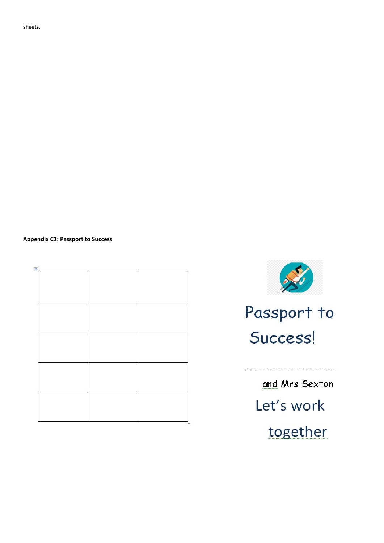**sheets.**

#### **Appendix C1: Passport to Success**



# Passport to Success!

and Mrs Sexton Let's work together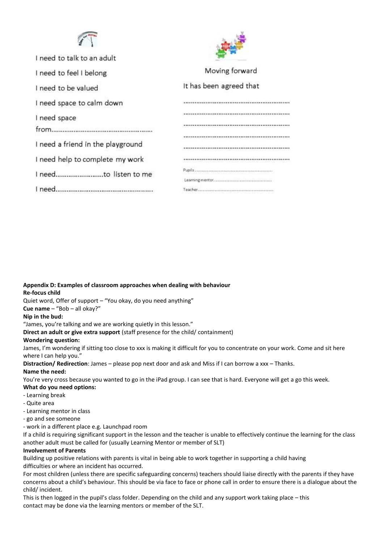



| I need to talk to an adult        |                         |
|-----------------------------------|-------------------------|
| I need to feel I belong           | Moving forward          |
| I need to be valued               | It has been agreed that |
| I need space to calm down         |                         |
| I need space                      |                         |
| from                              |                         |
|                                   |                         |
| I need a friend in the playground |                         |
| I need help to complete my work   |                         |
|                                   |                         |
|                                   |                         |
| I need.                           |                         |
|                                   |                         |

**Appendix D: Examples of classroom approaches when dealing with behaviour Re-focus child**

Quiet word, Offer of support – "You okay, do you need anything"

#### **Cue name** – "Bob – all okay?"

#### **Nip in the bud:**

"James, you're talking and we are working quietly in this lesson."

**Direct an adult or give extra support** (staff presence for the child/ containment)

#### **Wondering question:**

James, I'm wondering if sitting too close to xxx is making it difficult for you to concentrate on your work. Come and sit here where I can help you."

**Distraction/ Redirection**: James – please pop next door and ask and Miss if I can borrow a xxx – Thanks.

#### **Name the need:**

You're very cross because you wanted to go in the iPad group. I can see that is hard. Everyone will get a go this week.

#### **What do you need options:**

- Learning break
- Quite area
- Learning mentor in class
- go and see someone

- work in a different place e.g. Launchpad room

If a child is requiring significant support in the lesson and the teacher is unable to effectively continue the learning for the class another adult must be called for (usually Learning Mentor or member of SLT)

#### **Involvement of Parents**

Building up positive relations with parents is vital in being able to work together in supporting a child having difficulties or where an incident has occurred.

For most children (unless there are specific safeguarding concerns) teachers should liaise directly with the parents if they have concerns about a child's behaviour. This should be via face to face or phone call in order to ensure there is a dialogue about the child/ incident.

This is then logged in the pupil's class folder. Depending on the child and any support work taking place – this contact may be done via the learning mentors or member of the SLT.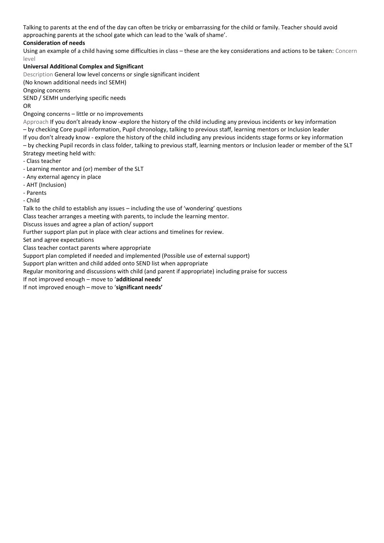Talking to parents at the end of the day can often be tricky or embarrassing for the child or family. Teacher should avoid approaching parents at the school gate which can lead to the 'walk of shame'.

# **Consideration of needs**

Using an example of a child having some difficulties in class – these are the key considerations and actions to be taken: Concern level

# **Universal Additional Complex and Significant**

Description General low level concerns or single significant incident

(No known additional needs incl SEMH)

Ongoing concerns

SEND / SEMH underlying specific needs

OR

Ongoing concerns – little or no improvements

Approach If you don't already know -explore the history of the child including any previous incidents or key information – by checking Core pupil information, Pupil chronology, talking to previous staff, learning mentors or Inclusion leader If you don't already know - explore the history of the child including any previous incidents stage forms or key information – by checking Pupil records in class folder, talking to previous staff, learning mentors or Inclusion leader or member of the SLT Strategy meeting held with:

- Class teacher
- Learning mentor and (or) member of the SLT
- Any external agency in place
- AHT (Inclusion)

- Parents

- Child

Talk to the child to establish any issues – including the use of 'wondering' questions

Class teacher arranges a meeting with parents, to include the learning mentor.

Discuss issues and agree a plan of action/ support

Further support plan put in place with clear actions and timelines for review.

Set and agree expectations

Class teacher contact parents where appropriate

Support plan completed if needed and implemented (Possible use of external support)

Support plan written and child added onto SEND list when appropriate

Regular monitoring and discussions with child (and parent if appropriate) including praise for success

If not improved enough – move to '**additional needs'**

If not improved enough – move to '**significant needs'**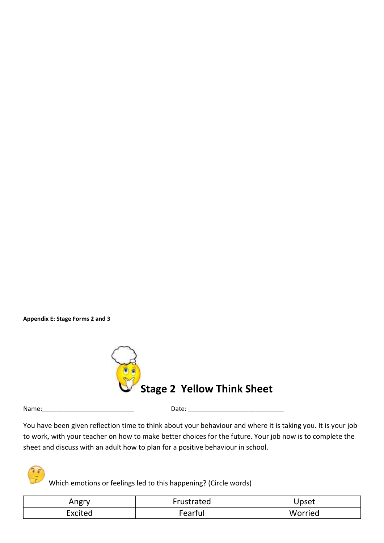**Appendix E: Stage Forms 2 and 3**



Name:\_\_\_\_\_\_\_\_\_\_\_\_\_\_\_\_\_\_\_\_\_\_\_\_\_\_ Date: \_\_\_\_\_\_\_\_\_\_\_\_\_\_\_\_\_\_\_\_\_\_\_\_\_\_\_

You have been given reflection time to think about your behaviour and where it is taking you. It is your job to work, with your teacher on how to make better choices for the future. Your job now is to complete the sheet and discuss with an adult how to plan for a positive behaviour in school.

Which emotions or feelings led to this happening? (Circle words)

| Angry   | Frustrated | Upset   |
|---------|------------|---------|
| Excited | earful     | Worried |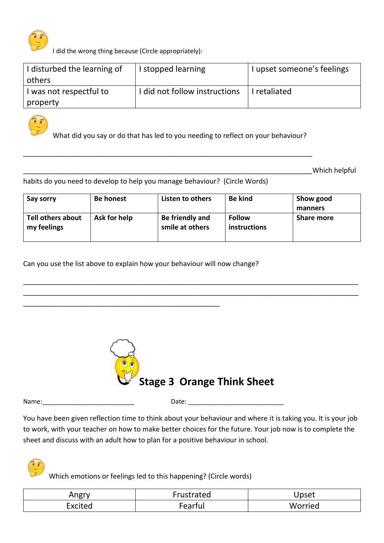

I did the wrong thing because (Circle appropriately):

| I disturbed the learning of | I stopped learning            | I upset someone's feelings |
|-----------------------------|-------------------------------|----------------------------|
| others                      |                               |                            |
| I was not respectful to     | I did not follow instructions | retaliated                 |
| property                    |                               |                            |



What did you say or do that has led to you needing to reflect on your behaviour?

\_\_\_\_\_\_\_\_\_\_\_\_\_\_\_\_\_\_\_\_\_\_\_\_\_\_\_\_\_\_\_\_\_\_\_\_\_\_\_\_\_\_\_\_\_\_\_\_\_\_\_\_\_\_\_\_\_\_\_\_\_\_\_\_\_\_\_\_\_\_\_\_\_\_\_

\_\_\_\_\_\_\_\_\_\_\_\_\_\_\_\_\_\_\_\_\_\_\_\_\_\_\_\_\_\_\_\_\_\_\_\_\_\_\_\_\_\_\_\_\_\_\_\_\_\_\_\_\_\_\_\_\_\_\_\_\_\_\_\_\_\_\_\_\_\_\_\_\_\_\_Which helpful

habits do you need to develop to help you manage behaviour? (Circle Words)

| Say sorry                               | <b>Be honest</b> | Listen to others                   | <b>Be kind</b>                | Show good<br>manners |
|-----------------------------------------|------------------|------------------------------------|-------------------------------|----------------------|
| <b>Tell others about</b><br>my feelings | Ask for help     | Be friendly and<br>smile at others | <b>Follow</b><br>instructions | <b>Share more</b>    |

\_\_\_\_\_\_\_\_\_\_\_\_\_\_\_\_\_\_\_\_\_\_\_\_\_\_\_\_\_\_\_\_\_\_\_\_\_\_\_\_\_\_\_\_\_\_\_\_\_\_\_\_\_\_\_\_\_\_\_\_\_\_\_\_\_\_\_\_\_\_\_\_\_\_\_\_\_\_\_\_\_\_\_\_\_\_\_ \_\_\_\_\_\_\_\_\_\_\_\_\_\_\_\_\_\_\_\_\_\_\_\_\_\_\_\_\_\_\_\_\_\_\_\_\_\_\_\_\_\_\_\_\_\_\_\_\_\_\_\_\_\_\_\_\_\_\_\_\_\_\_\_\_\_\_\_\_\_\_\_\_\_\_\_\_\_\_\_\_\_\_\_\_\_\_

Can you use the list above to explain how your behaviour will now change?

\_\_\_\_\_\_\_\_\_\_\_\_\_\_\_\_\_\_\_\_\_\_\_\_\_\_\_\_\_\_\_\_\_\_\_\_\_\_\_\_\_\_\_\_\_\_\_\_\_\_\_



Name: where the contract of the contract of the Date:  $\Box$ 

You have been given reflection time to think about your behaviour and where it is taking you. It is your job to work, with your teacher on how to make better choices for the future. Your job now is to complete the sheet and discuss with an adult how to plan for a positive behaviour in school.

Which emotions or feelings led to this happening? (Circle words)

| Angry   | Trustrated | Upset   |
|---------|------------|---------|
| Excited | earful     | Worried |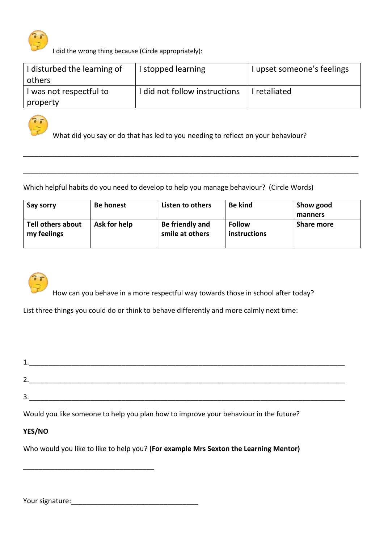

I did the wrong thing because (Circle appropriately):

| I disturbed the learning of | I stopped learning            | I upset someone's feelings |
|-----------------------------|-------------------------------|----------------------------|
| others                      |                               |                            |
| I was not respectful to     | I did not follow instructions | I I retaliated             |
| property                    |                               |                            |



What did you say or do that has led to you needing to reflect on your behaviour?

\_\_\_\_\_\_\_\_\_\_\_\_\_\_\_\_\_\_\_\_\_\_\_\_\_\_\_\_\_\_\_\_\_\_\_\_\_\_\_\_\_\_\_\_\_\_\_\_\_\_\_\_\_\_\_\_\_\_\_\_\_\_\_\_\_\_\_\_\_\_\_\_\_\_\_\_\_\_\_\_\_\_\_\_\_\_\_

\_\_\_\_\_\_\_\_\_\_\_\_\_\_\_\_\_\_\_\_\_\_\_\_\_\_\_\_\_\_\_\_\_\_\_\_\_\_\_\_\_\_\_\_\_\_\_\_\_\_\_\_\_\_\_\_\_\_\_\_\_\_\_\_\_\_\_\_\_\_\_\_\_\_\_\_\_\_\_\_\_\_\_\_\_\_\_

Which helpful habits do you need to develop to help you manage behaviour? (Circle Words)

| Say sorry                        | <b>Be honest</b> | Listen to others                   | <b>Be kind</b>                | Show good         |
|----------------------------------|------------------|------------------------------------|-------------------------------|-------------------|
|                                  |                  |                                    |                               | manners           |
| Tell others about<br>my feelings | Ask for help     | Be friendly and<br>smile at others | <b>Follow</b><br>instructions | <b>Share more</b> |



How can you behave in a more respectful way towards those in school after today?

List three things you could do or think to behave differently and more calmly next time:

1. 2. 3.

Would you like someone to help you plan how to improve your behaviour in the future?

# **YES/NO**

Who would you like to like to help you? **(For example Mrs Sexton the Learning Mentor)**

Your signature:\_\_\_\_\_\_\_\_\_\_\_\_\_\_\_\_\_\_\_\_\_\_\_\_\_\_\_\_\_\_\_\_\_

\_\_\_\_\_\_\_\_\_\_\_\_\_\_\_\_\_\_\_\_\_\_\_\_\_\_\_\_\_\_\_\_\_\_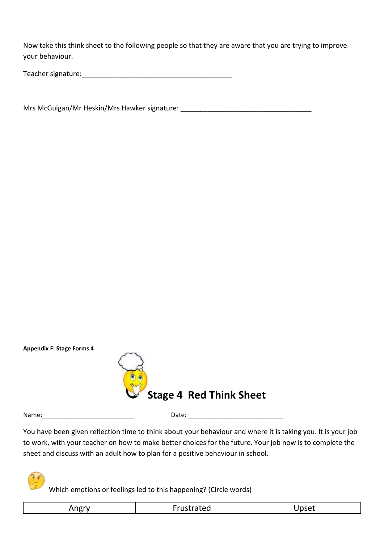Now take this think sheet to the following people so that they are aware that you are trying to improve your behaviour.

Teacher signature:

Mrs McGuigan/Mr Heskin/Mrs Hawker signature: \_\_\_\_\_\_\_\_\_\_\_\_\_\_\_\_\_\_\_\_\_\_\_\_\_\_\_\_\_\_\_\_\_\_\_

**Appendix F: Stage Forms 4**



Name: which is a set of the control of the Date:  $\Box$  Date:  $\Box$ 

You have been given reflection time to think about your behaviour and where it is taking you. It is your job to work, with your teacher on how to make better choices for the future. Your job now is to complete the sheet and discuss with an adult how to plan for a positive behaviour in school.

Which emotions or feelings led to this happening? (Circle words)

| Angry<br>ີ | Frustrated | Jpset |
|------------|------------|-------|
|            |            |       |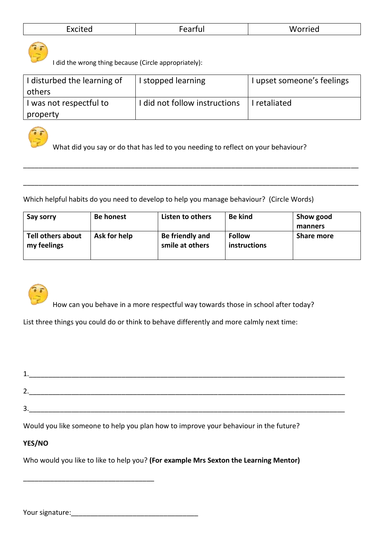| Worried<br>. .<br>earful<br>Excited<br>-ear<br>---------<br>_________<br>_____ |  |  |  |
|--------------------------------------------------------------------------------|--|--|--|
|--------------------------------------------------------------------------------|--|--|--|



I did the wrong thing because (Circle appropriately):

| I disturbed the learning of | I stopped learning            | I upset someone's feelings |
|-----------------------------|-------------------------------|----------------------------|
| others                      |                               |                            |
| was not respectful to       | I did not follow instructions | retaliated                 |
| property                    |                               |                            |



What did you say or do that has led to you needing to reflect on your behaviour?

Which helpful habits do you need to develop to help you manage behaviour? (Circle Words)

| Say sorry                        | <b>Be honest</b> | Listen to others                   | <b>Be kind</b>                | Show good         |
|----------------------------------|------------------|------------------------------------|-------------------------------|-------------------|
|                                  |                  |                                    |                               | manners           |
| Tell others about<br>my feelings | Ask for help     | Be friendly and<br>smile at others | <b>Follow</b><br>instructions | <b>Share more</b> |

\_\_\_\_\_\_\_\_\_\_\_\_\_\_\_\_\_\_\_\_\_\_\_\_\_\_\_\_\_\_\_\_\_\_\_\_\_\_\_\_\_\_\_\_\_\_\_\_\_\_\_\_\_\_\_\_\_\_\_\_\_\_\_\_\_\_\_\_\_\_\_\_\_\_\_\_\_\_\_\_\_\_\_\_\_\_\_

\_\_\_\_\_\_\_\_\_\_\_\_\_\_\_\_\_\_\_\_\_\_\_\_\_\_\_\_\_\_\_\_\_\_\_\_\_\_\_\_\_\_\_\_\_\_\_\_\_\_\_\_\_\_\_\_\_\_\_\_\_\_\_\_\_\_\_\_\_\_\_\_\_\_\_\_\_\_\_\_\_\_\_\_\_\_\_



How can you behave in a more respectful way towards those in school after today?

List three things you could do or think to behave differently and more calmly next time:

| ÷.                       |  |  |
|--------------------------|--|--|
|                          |  |  |
| $\overline{\phantom{0}}$ |  |  |

Would you like someone to help you plan how to improve your behaviour in the future?

# **YES/NO**

Who would you like to like to help you? **(For example Mrs Sexton the Learning Mentor)**

Your signature:

\_\_\_\_\_\_\_\_\_\_\_\_\_\_\_\_\_\_\_\_\_\_\_\_\_\_\_\_\_\_\_\_\_\_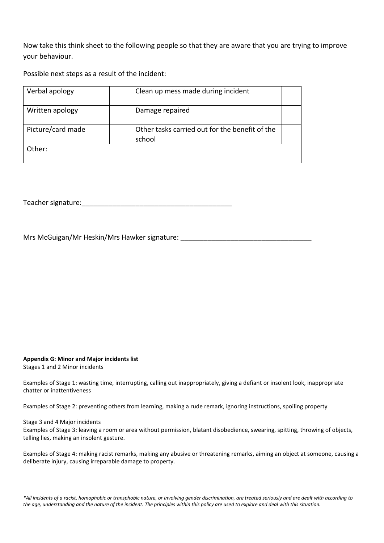Now take this think sheet to the following people so that they are aware that you are trying to improve your behaviour.

Possible next steps as a result of the incident:

| Verbal apology    | Clean up mess made during incident                       |  |
|-------------------|----------------------------------------------------------|--|
| Written apology   | Damage repaired                                          |  |
| Picture/card made | Other tasks carried out for the benefit of the<br>school |  |
| Other:            |                                                          |  |

Teacher signature:  $\Box$ 

Mrs McGuigan/Mr Heskin/Mrs Hawker signature:

#### **Appendix G: Minor and Major incidents list**

Stages 1 and 2 Minor incidents

Examples of Stage 1: wasting time, interrupting, calling out inappropriately, giving a defiant or insolent look, inappropriate chatter or inattentiveness

Examples of Stage 2: preventing others from learning, making a rude remark, ignoring instructions, spoiling property

#### Stage 3 and 4 Major incidents

Examples of Stage 3: leaving a room or area without permission, blatant disobedience, swearing, spitting, throwing of objects, telling lies, making an insolent gesture.

Examples of Stage 4: making racist remarks, making any abusive or threatening remarks, aiming an object at someone, causing a deliberate injury, causing irreparable damage to property.

*\*All incidents of a racist, homophobic or transphobic nature, or involving gender discrimination, are treated seriously and are dealt with according to the age, understanding and the nature of the incident. The principles within this policy are used to explore and deal with this situation.*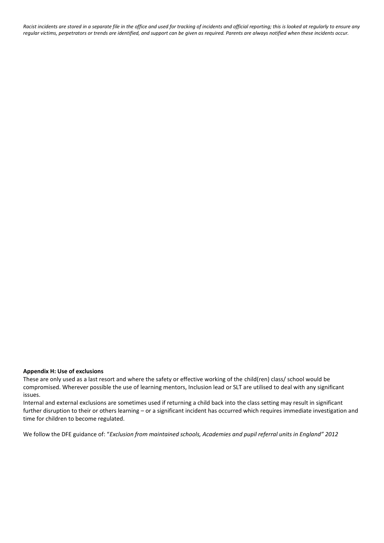*Racist incidents are stored in a separate file in the office and used for tracking of incidents and official reporting; this is looked at regularly to ensure any regular victims, perpetrators or trends are identified, and support can be given as required. Parents are always notified when these incidents occur.*

# **Appendix H: Use of exclusions**

These are only used as a last resort and where the safety or effective working of the child(ren) class/ school would be compromised. Wherever possible the use of learning mentors, Inclusion lead or SLT are utilised to deal with any significant issues.

Internal and external exclusions are sometimes used if returning a child back into the class setting may result in significant further disruption to their or others learning – or a significant incident has occurred which requires immediate investigation and time for children to become regulated.

We follow the DFE guidance of: "Exclusion from maintained schools, Academies and pupil referral units in England" 2012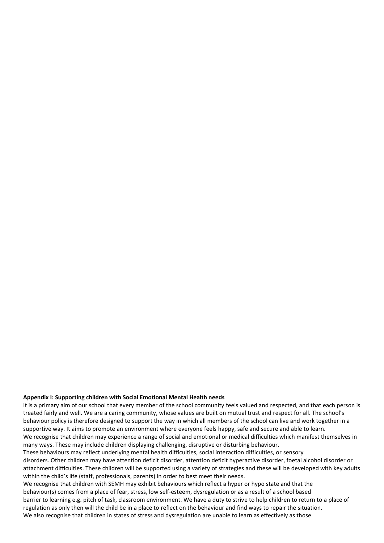#### **Appendix I: Supporting children with Social Emotional Mental Health needs**

It is a primary aim of our school that every member of the school community feels valued and respected, and that each person is treated fairly and well. We are a caring community, whose values are built on mutual trust and respect for all. The school's behaviour policy is therefore designed to support the way in which all members of the school can live and work together in a supportive way. It aims to promote an environment where everyone feels happy, safe and secure and able to learn. We recognise that children may experience a range of social and emotional or medical difficulties which manifest themselves in many ways. These may include children displaying challenging, disruptive or disturbing behaviour.

These behaviours may reflect underlying mental health difficulties, social interaction difficulties, or sensory disorders. Other children may have attention deficit disorder, attention deficit hyperactive disorder, foetal alcohol disorder or attachment difficulties. These children will be supported using a variety of strategies and these will be developed with key adults within the child's life (staff, professionals, parents) in order to best meet their needs.

We recognise that children with SEMH may exhibit behaviours which reflect a hyper or hypo state and that the behaviour(s) comes from a place of fear, stress, low self-esteem, dysregulation or as a result of a school based barrier to learning e.g. pitch of task, classroom environment. We have a duty to strive to help children to return to a place of regulation as only then will the child be in a place to reflect on the behaviour and find ways to repair the situation. We also recognise that children in states of stress and dysregulation are unable to learn as effectively as those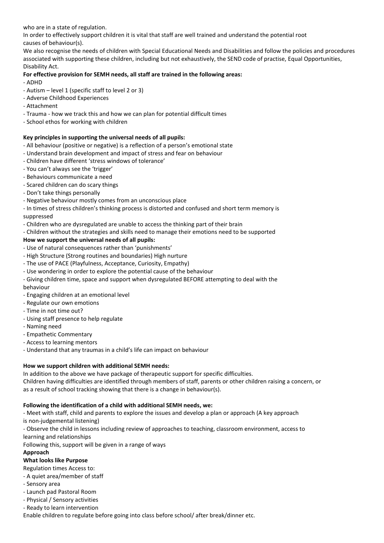who are in a state of regulation.

In order to effectively support children it is vital that staff are well trained and understand the potential root causes of behaviour(s).

We also recognise the needs of children with Special Educational Needs and Disabilities and follow the policies and procedures associated with supporting these children, including but not exhaustively, the SEND code of practise, Equal Opportunities, Disability Act.

# **For effective provision for SEMH needs, all staff are trained in the following areas:**

- ADHD

- Autism level 1 (specific staff to level 2 or 3)
- Adverse Childhood Experiences
- Attachment
- Trauma how we track this and how we can plan for potential difficult times
- School ethos for working with children

# **Key principles in supporting the universal needs of all pupils:**

- All behaviour (positive or negative) is a reflection of a person's emotional state
- Understand brain development and impact of stress and fear on behaviour
- Children have different 'stress windows of tolerance'
- You can't always see the 'trigger'
- Behaviours communicate a need
- Scared children can do scary things
- Don't take things personally
- Negative behaviour mostly comes from an unconscious place
- In times of stress children's thinking process is distorted and confused and short term memory is suppressed
- Children who are dysregulated are unable to access the thinking part of their brain
- Children without the strategies and skills need to manage their emotions need to be supported

# **How we support the universal needs of all pupils:**

- Use of natural consequences rather than 'punishments'
- High Structure (Strong routines and boundaries) High nurture
- The use of PACE (Playfulness, Acceptance, Curiosity, Empathy)
- Use wondering in order to explore the potential cause of the behaviour
- Giving children time, space and support when dysregulated BEFORE attempting to deal with the behaviour
- Engaging children at an emotional level
- Regulate our own emotions
- Time in not time out?
- Using staff presence to help regulate
- Naming need
- Empathetic Commentary
- Access to learning mentors
- Understand that any traumas in a child's life can impact on behaviour

# **How we support children with additional SEMH needs:**

In addition to the above we have package of therapeutic support for specific difficulties.

Children having difficulties are identified through members of staff, parents or other children raising a concern, or as a result of school tracking showing that there is a change in behaviour(s).

#### **Following the identification of a child with additional SEMH needs, we:**

- Meet with staff, child and parents to explore the issues and develop a plan or approach (A key approach is non-judgemental listening)

- Observe the child in lessons including review of approaches to teaching, classroom environment, access to

learning and relationships

Following this, support will be given in a range of ways

# **Approach**

# **What looks like Purpose**

Regulation times Access to:

- A quiet area/member of staff
- Sensory area
- Launch pad Pastoral Room
- Physical / Sensory activities
- Ready to learn intervention

Enable children to regulate before going into class before school/ after break/dinner etc.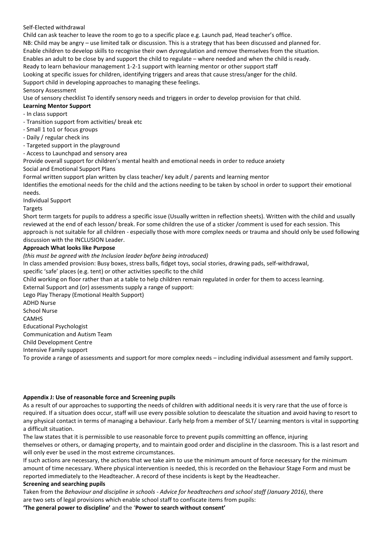# Self-Elected withdrawal

Child can ask teacher to leave the room to go to a specific place e.g. Launch pad, Head teacher's office. NB: Child may be angry – use limited talk or discussion. This is a strategy that has been discussed and planned for. Enable children to develop skills to recognise their own dysregulation and remove themselves from the situation. Enables an adult to be close by and support the child to regulate – where needed and when the child is ready. Ready to learn behaviour management 1-2-1 support with learning mentor or other support staff Looking at specific issues for children, identifying triggers and areas that cause stress/anger for the child. Support child in developing approaches to managing these feelings.

Sensory Assessment Use of sensory checklist To identify sensory needs and triggers in order to develop provision for that child.

# **Learning Mentor Support**

- In class support
- Transition support from activities/ break etc
- Small 1 to1 or focus groups
- Daily / regular check ins
- Targeted support in the playground
- Access to Launchpad and sensory area

Provide overall support for children's mental health and emotional needs in order to reduce anxiety Social and Emotional Support Plans

Formal written support plan written by class teacher/ key adult / parents and learning mentor

Identifies the emotional needs for the child and the actions needing to be taken by school in order to support their emotional needs.

Individual Support

# Targets

Short term targets for pupils to address a specific issue (Usually written in reflection sheets). Written with the child and usually reviewed at the end of each lesson/ break. For some children the use of a sticker /comment is used for each session. This approach is not suitable for all children - especially those with more complex needs or trauma and should only be used following discussion with the INCLUSION Leader.

# **Approach What looks like Purpose**

*(this must be agreed with the Inclusion leader before being introduced)*

In class amended provision: Busy boxes, stress balls, fidget toys, social stories, drawing pads, self-withdrawal,

specific 'safe' places (e.g. tent) or other activities specific to the child

Child working on floor rather than at a table to help children remain regulated in order for them to access learning.

External Support and (or) assessments supply a range of support:

Lego Play Therapy (Emotional Health Support)

ADHD Nurse

School Nurse

**CAMHS** 

Educational Psychologist

Communication and Autism Team

Child Development Centre

Intensive Family support

To provide a range of assessments and support for more complex needs – including individual assessment and family support.

# **Appendix J: Use of reasonable force and Screening pupils**

As a result of our approaches to supporting the needs of children with additional needs it is very rare that the use of force is required. If a situation does occur, staff will use every possible solution to deescalate the situation and avoid having to resort to any physical contact in terms of managing a behaviour. Early help from a member of SLT/ Learning mentors is vital in supporting a difficult situation.

The law states that it is permissible to use reasonable force to prevent pupils committing an offence, injuring themselves or others, or damaging property, and to maintain good order and discipline in the classroom. This is a last resort and will only ever be used in the most extreme circumstances.

If such actions are necessary, the actions that we take aim to use the minimum amount of force necessary for the minimum amount of time necessary. Where physical intervention is needed, this is recorded on the Behaviour Stage Form and must be reported immediately to the Headteacher. A record of these incidents is kept by the Headteacher.

# **Screening and searching pupils**

Taken from the *Behaviour and discipline in schools - Advice for headteachers and school staff (January 2016)*, there are two sets of legal provisions which enable school staff to confiscate items from pupils:

**'The general power to discipline'** and the '**Power to search without consent'**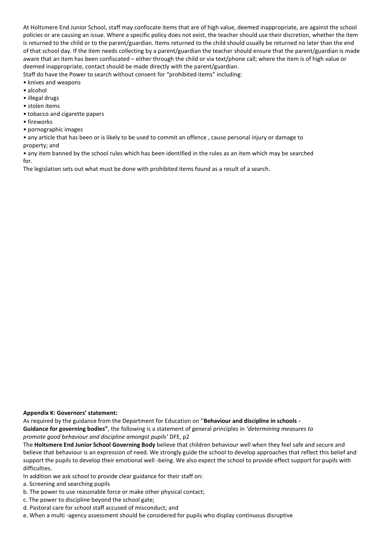At Holtsmere End Junior School, staff may confiscate items that are of high value, deemed inappropriate, are against the school policies or are causing an issue. Where a specific policy does not exist, the teacher should use their discretion, whether the item is returned to the child or to the parent/guardian. Items returned to the child should usually be returned no later than the end of that school day. If the item needs collecting by a parent/guardian the teacher should ensure that the parent/guardian is made aware that an item has been confiscated – either through the child or via text/phone call; where the item is of high value or deemed inappropriate, contact should be made directly with the parent/guardian. Staff do have the Power to search without consent for "prohibited items" including:

- knives and weapons
- alcohol
- illegal drugs
- stolen items
- tobacco and cigarette papers
- fireworks
- pornographic images

• any article that has been or is likely to be used to commit an offence , cause personal injury or damage to property; and

• any item banned by the school rules which has been identified in the rules as an item which may be searched for.

The legislation sets out what must be done with prohibited items found as a result of a search.

#### **Appendix K: Governors' statement:**

As required by the guidance from the Department for Education on "**Behaviour and discipline in schools - Guidance for governing bodies"**, the following is a statement of general principles in *'determining measures to promote good behaviour and discipline amongst pupils'* DFE, p2

The **Holtsmere End Junior School Governing Body** believe that children behaviour well when they feel safe and secure and believe that behaviour is an expression of need. We strongly guide the school to develop approaches that reflect this belief and support the pupils to develop their emotional well -being. We also expect the school to provide effect support for pupils with difficulties.

In addition we ask school to provide clear guidance for their staff on:

a. Screening and searching pupils

- b. The power to use reasonable force or make other physical contact;
- c. The power to discipline beyond the school gate;
- d. Pastoral care for school staff accused of misconduct; and
- e. When a multi -agency assessment should be considered for pupils who display continuous disruptive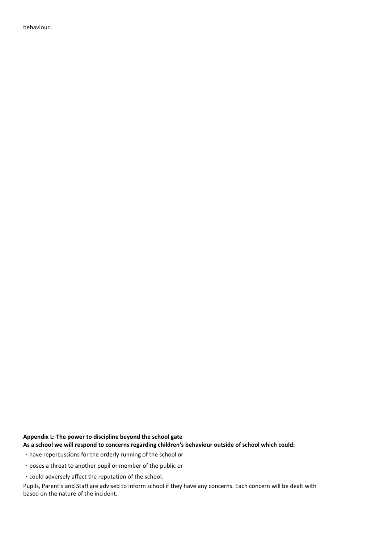behaviour.

# **Appendix L: The power to discipline beyond the school gate**

**As a school we will respond to concerns regarding children's behaviour outside of school which could:**

have repercussions for the orderly running of the school or

poses a threat to another pupil or member of the public or

could adversely affect the reputation of the school.

Pupils, Parent's and Staff are advised to inform school if they have any concerns. Each concern will be dealt with based on the nature of the incident.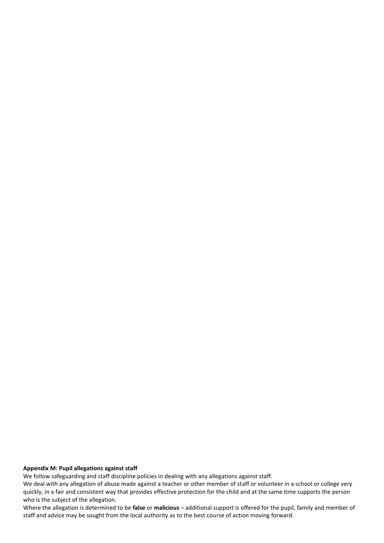#### **Appendix M: Pupil allegations against staff**

We follow safeguarding and staff discipline policies in dealing with any allegations against staff.

We deal with any allegation of abuse made against a teacher or other member of staff or volunteer in a school or college very quickly, in a fair and consistent way that provides effective protection for the child and at the same time supports the person who is the subject of the allegation.

Where the allegation is determined to be **false** or **malicious** – additional support is offered for the pupil, family and member of staff and advice may be sought from the local authority as to the best course of action moving forward.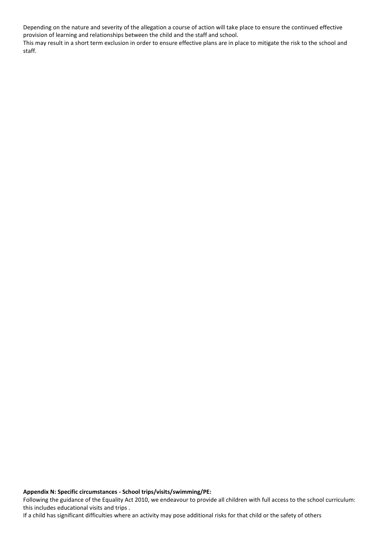Depending on the nature and severity of the allegation a course of action will take place to ensure the continued effective provision of learning and relationships between the child and the staff and school.

This may result in a short term exclusion in order to ensure effective plans are in place to mitigate the risk to the school and staff.

**Appendix N: Specific circumstances - School trips/visits/swimming/PE:**

Following the guidance of the Equality Act 2010, we endeavour to provide all children with full access to the school curriculum: this includes educational visits and trips .

If a child has significant difficulties where an activity may pose additional risks for that child or the safety of others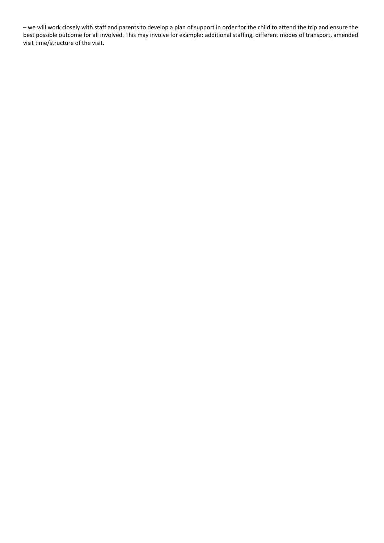– we will work closely with staff and parents to develop a plan of support in order for the child to attend the trip and ensure the best possible outcome for all involved. This may involve for example: additional staffing, different modes of transport, amended visit time/structure of the visit.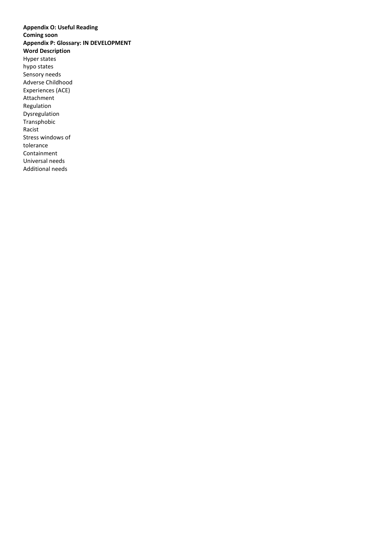**Appendix O: Useful Reading Coming soon Appendix P: Glossary: IN DEVELOPMENT Word Description** Hyper states hypo states Sensory needs Adverse Childhood Experiences (ACE) Attachment Regulation Dysregulation Transphobic Racist Stress windows of tolerance Containment Universal needs Additional needs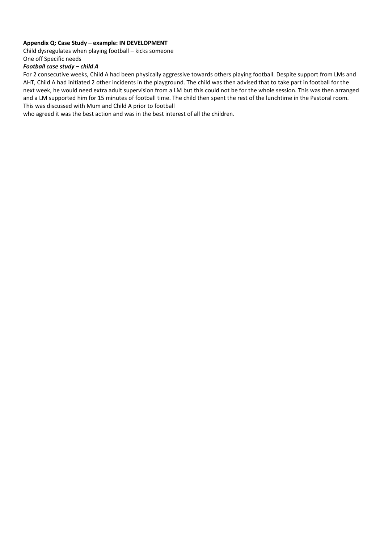# **Appendix Q: Case Study – example: IN DEVELOPMENT**

Child dysregulates when playing football – kicks someone One off Specific needs

#### *Football case study – child A*

For 2 consecutive weeks, Child A had been physically aggressive towards others playing football. Despite support from LMs and AHT, Child A had initiated 2 other incidents in the playground. The child was then advised that to take part in football for the next week, he would need extra adult supervision from a LM but this could not be for the whole session. This was then arranged and a LM supported him for 15 minutes of football time. The child then spent the rest of the lunchtime in the Pastoral room. This was discussed with Mum and Child A prior to football

who agreed it was the best action and was in the best interest of all the children.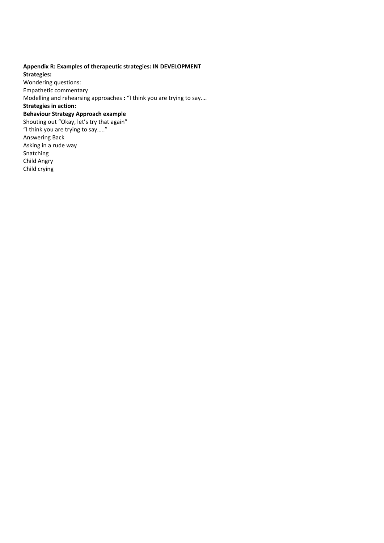# **Appendix R: Examples of therapeutic strategies: IN DEVELOPMENT**

**Strategies:** Wondering questions: Empathetic commentary Modelling and rehearsing approaches **:** "I think you are trying to say….

# **Strategies in action:**

#### **Behaviour Strategy Approach example**

Shouting out "Okay, let's try that again" "I think you are trying to say….." Answering Back Asking in a rude way Snatching Child Angry Child crying